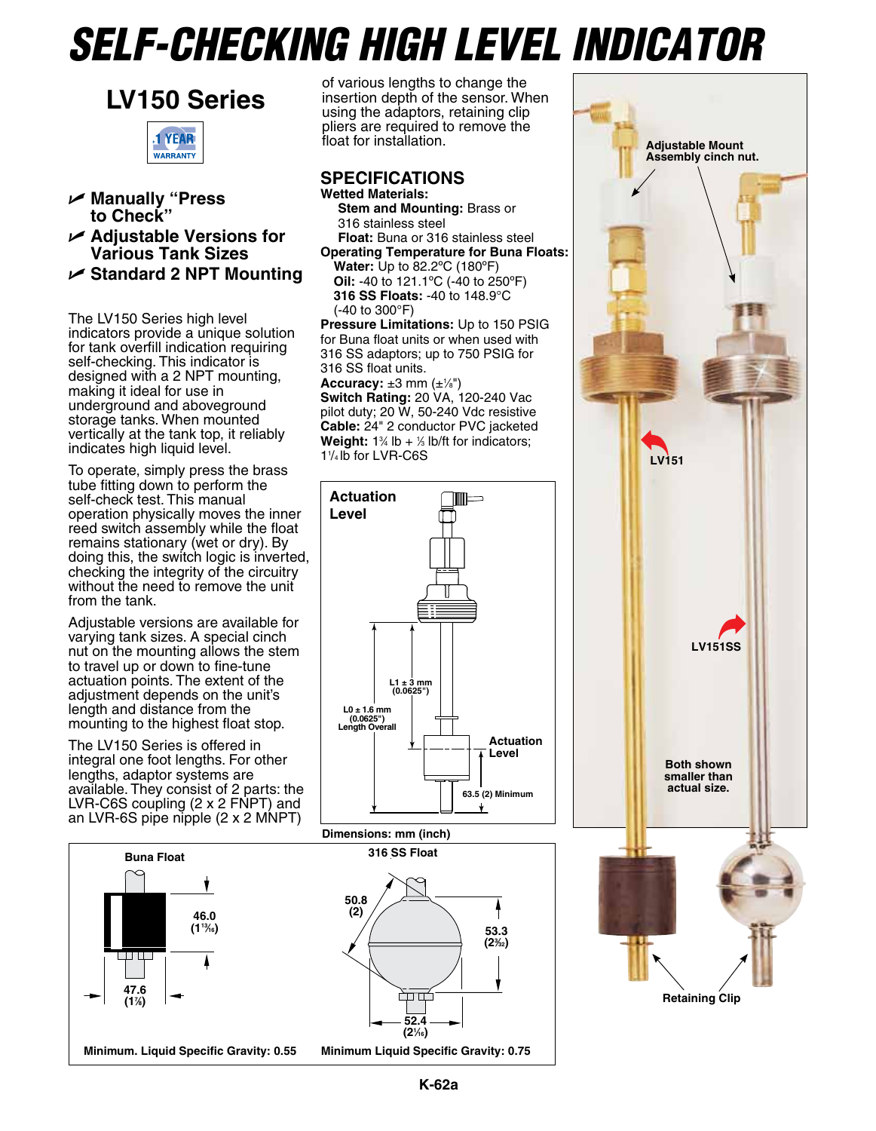# *Self-Checking High Level Indicator*





- U **Manually "Press to Check"**
- U **Adjustable Versions for Various Tank Sizes**
- U **Standard 2 NPT Mounting**

The LV150 Series high level indicators provide a unique solution for tank overfill indication requiring self-checking. This indicator is designed with a 2 NPT mounting, making it ideal for use in underground and aboveground storage tanks. When mounted vertically at the tank top, it reliably indicates high liquid level.

To operate, simply press the brass tube fitting down to perform the self-check test. This manual operation physically moves the inner reed switch assembly while the float remains stationary (wet or dry). By doing this, the switch logic is inverted, checking the integrity of the circuitry without the need to remove the unit from the tank.

Adjustable versions are available for varying tank sizes. A special cinch nut on the mounting allows the stem to travel up or down to fine-tune actuation points. The extent of the adjustment depends on the unit's length and distance from the mounting to the highest float stop.

The LV150 Series is offered in integral one foot lengths. For other lengths, adaptor systems are available. They consist of 2 parts: the LVR-C6S coupling (2 x 2 FNPT) and an LVR-6S pipe nipple (2 x 2 MNPT)



of various lengths to change the insertion depth of the sensor. When using the adaptors, retaining clip pliers are required to remove the float for installation.

### **Specifications Wetted Materials:**

**Stem and Mounting:** Brass or 316 stainless steel **Float:** Buna or 316 stainless steel

**Operating Temperature for Buna Floats:**

**Water:** Up to 82.2ºC (180ºF) **Oil:** -40 to 121.1ºC (-40 to 250ºF) **316 SS Floats:** -40 to 148.9°C (-40 to 300°F)

**Pressure Limitations:** Up to 150 PSIG for Buna float units or when used with 316 SS adaptors; up to 750 PSIG for 316 SS float units.

**Accuracy:** ±3 mm (±1⁄8") **Switch Rating:** 20 VA, 120-240 Vac pilot duty; 20 W, 50-240 Vdc resistive **Cable:** 24" 2 conductor PVC jacketed **Weight:**  $1\%$  lb  $+$   $\%$  lb/ft for indicators; 11 /4 lb for LVR-C6S



**Dimensions: mm (inch)**